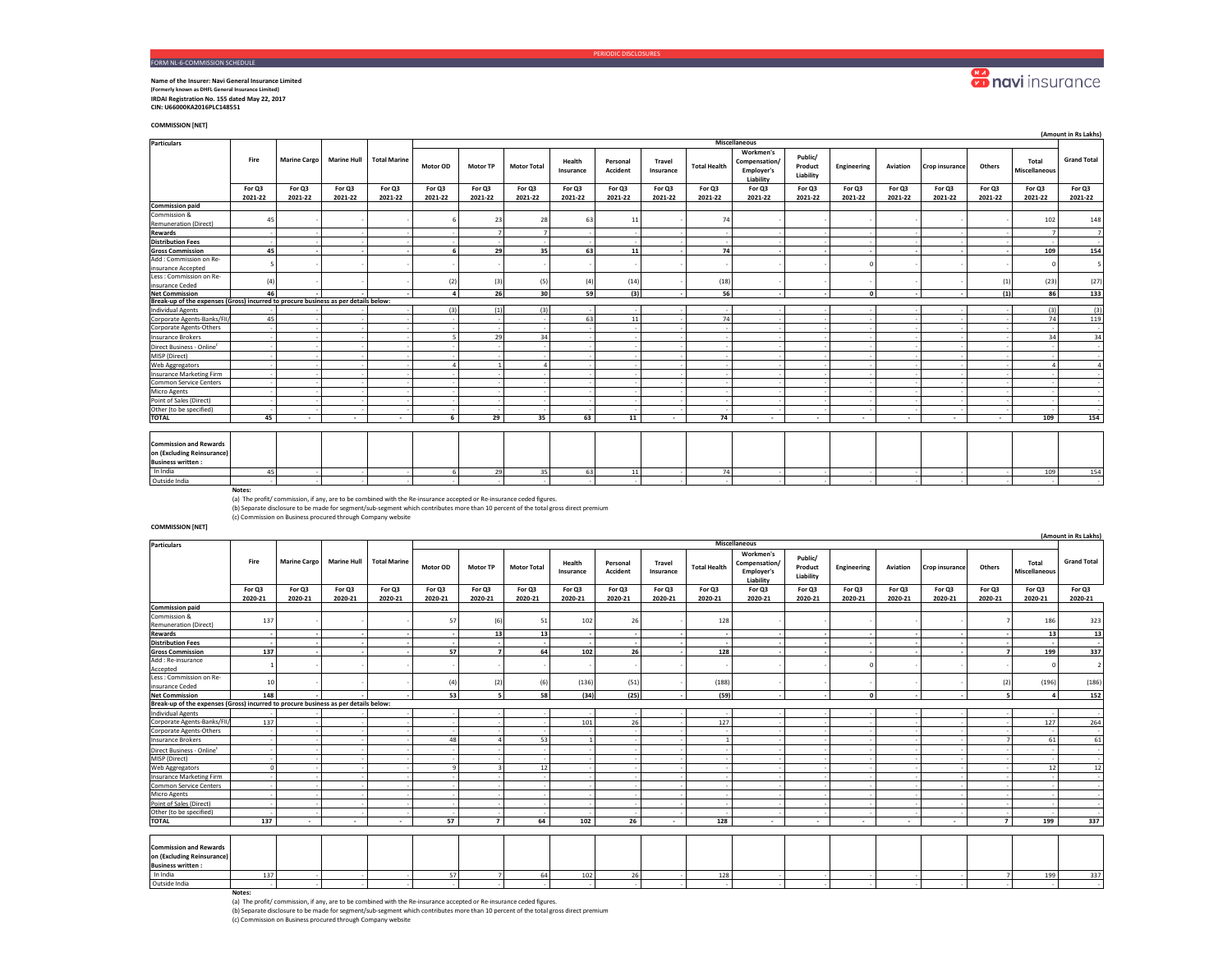#### PERIODIC DISCLOSURES

## FORM NL-6-COMMISSION SCHEDULE **Name of the Insurer: Navi General Insurance Limited**

**(Formerly known as DHFL General Insurance Limited) IRDAI Registration No. 155 dated May 22, 2017 CIN: U66000KA2016PLC148551** 

**COMMISSION [NET]**

| <b>Particulars</b>                                                                      |                   |                     |                          |                          | <b>Miscellaneous</b> |                   |                    |                     |                             |                            |                     |                                                       |                                 |                          |                   |                   |                   |                               |                    |
|-----------------------------------------------------------------------------------------|-------------------|---------------------|--------------------------|--------------------------|----------------------|-------------------|--------------------|---------------------|-----------------------------|----------------------------|---------------------|-------------------------------------------------------|---------------------------------|--------------------------|-------------------|-------------------|-------------------|-------------------------------|--------------------|
|                                                                                         | Fire              | <b>Marine Cargo</b> | <b>Marine Hull</b>       | <b>Total Marine</b>      | Motor OD             | <b>Motor TP</b>   | <b>Motor Total</b> | Health<br>Insurance | Personal<br><b>Accident</b> | <b>Travel</b><br>Insurance | <b>Total Health</b> | Workmen's<br>Compensation/<br>Employer's<br>Liability | Public/<br>Product<br>Liability | Engineering              | Aviation          | Crop insurance    | Others            | Total<br><b>Miscellaneous</b> | <b>Grand Total</b> |
|                                                                                         | For Q3<br>2021-22 | For Q3<br>2021-22   | For Q3<br>2021-22        | For Q3<br>2021-22        | For Q3<br>2021-22    | For Q3<br>2021-22 | For Q3<br>2021-22  | For Q3<br>2021-22   | For Q3<br>2021-22           | For Q3<br>2021-22          | For Q3<br>2021-22   | For Q3<br>2021-22                                     | For Q3<br>2021-22               | For Q3<br>2021-22        | For Q3<br>2021-22 | For Q3<br>2021-22 | For Q3<br>2021-22 | For Q3<br>2021-22             | For Q3<br>2021-22  |
| <b>Commission paid</b>                                                                  |                   |                     |                          |                          |                      |                   |                    |                     |                             |                            |                     |                                                       |                                 |                          |                   |                   |                   |                               |                    |
| Commission &<br><b>Remuneration (Direct)</b>                                            | 45                |                     |                          |                          |                      | 23                | 28                 | 63                  | 11                          |                            | 74                  |                                                       |                                 |                          |                   |                   |                   | 102                           | 148                |
| Rewards                                                                                 |                   |                     |                          |                          |                      |                   | $\overline{ }$     |                     |                             |                            |                     |                                                       |                                 |                          |                   |                   |                   |                               | $\overline{7}$     |
| <b>Distribution Fees</b>                                                                |                   |                     |                          |                          |                      |                   |                    |                     |                             |                            |                     |                                                       |                                 |                          |                   |                   |                   |                               |                    |
| <b>Gross Commission</b>                                                                 | 45                |                     |                          |                          |                      | 29                | 35                 | 63                  | 11                          |                            | 74                  |                                                       |                                 |                          |                   |                   |                   | 109                           | 154                |
| Add : Commission on Re-<br>insurance Accepted                                           |                   |                     |                          |                          |                      |                   |                    |                     |                             |                            |                     |                                                       |                                 | $\Omega$                 |                   |                   |                   |                               | 5                  |
| Less : Commission on Re-<br>insurance Ceded                                             | (4)               |                     |                          |                          | (2)                  | (3)               | (5)                | (4)                 | (14)                        |                            | (18)                |                                                       |                                 |                          |                   |                   | (1)               | (23)                          | (27)               |
| <b>Net Commission</b>                                                                   | 46                |                     |                          |                          |                      | 26                | 30                 | 59                  | (3)                         |                            | 56                  |                                                       |                                 | $\mathbf{o}$             |                   |                   | (1)               | 86                            | 133                |
| Break-up of the expenses (Gross) incurred to procure business as per details below:     |                   |                     |                          |                          |                      |                   |                    |                     |                             |                            |                     |                                                       |                                 |                          |                   |                   |                   |                               |                    |
| <b>Individual Agents</b>                                                                |                   |                     |                          |                          |                      | (1)               | (3)                |                     |                             |                            |                     |                                                       |                                 |                          |                   |                   |                   | (3)                           | (3)                |
| Corporate Agents-Banks/FII/                                                             | 45                |                     |                          |                          |                      |                   |                    | 63                  | 11                          |                            | 74                  |                                                       |                                 |                          |                   |                   |                   | 74                            | 119                |
| Corporate Agents-Others                                                                 |                   |                     |                          |                          |                      |                   |                    |                     |                             |                            |                     |                                                       |                                 |                          |                   |                   |                   |                               |                    |
| <b>Insurance Brokers</b>                                                                |                   |                     |                          |                          |                      | 29                | 34                 |                     |                             |                            |                     |                                                       |                                 |                          |                   |                   |                   | 34                            | 34                 |
| Direct Business - Online <sup>c</sup>                                                   |                   |                     |                          |                          |                      |                   |                    |                     |                             |                            |                     |                                                       |                                 |                          |                   |                   |                   |                               |                    |
| MISP (Direct)                                                                           |                   |                     |                          |                          |                      |                   |                    |                     |                             |                            |                     |                                                       |                                 |                          |                   |                   |                   |                               |                    |
| Web Aggregators                                                                         |                   |                     |                          |                          |                      |                   |                    |                     |                             |                            |                     |                                                       |                                 |                          |                   |                   |                   |                               | $\overline{a}$     |
| <b>Insurance Marketing Firm</b>                                                         |                   |                     |                          |                          |                      |                   |                    |                     |                             |                            |                     |                                                       |                                 |                          |                   |                   |                   |                               |                    |
| Common Service Centers                                                                  |                   |                     |                          |                          |                      |                   |                    |                     |                             |                            |                     |                                                       |                                 |                          |                   |                   |                   |                               |                    |
| Micro Agents                                                                            |                   |                     |                          |                          |                      |                   |                    |                     |                             |                            |                     |                                                       |                                 |                          |                   |                   |                   |                               |                    |
| Point of Sales (Direct)                                                                 |                   |                     |                          |                          |                      |                   |                    |                     |                             |                            |                     |                                                       |                                 |                          |                   |                   |                   |                               |                    |
| Other (to be specified)                                                                 |                   |                     |                          |                          |                      |                   |                    |                     |                             |                            |                     |                                                       |                                 |                          |                   |                   |                   |                               |                    |
| <b>TOTAL</b>                                                                            | 45                | $\sim$              | $\overline{\phantom{a}}$ | $\overline{\phantom{a}}$ | 6                    | 29                | 35                 | 63                  | 11                          | $\sim$                     | 74                  | $\sim$                                                | $\sim$                          | $\overline{\phantom{a}}$ | $\sim$            | $\sim$            |                   | 109                           | 154                |
| <b>Commission and Rewards</b><br>on (Excluding Reinsurance)<br><b>Business written:</b> |                   |                     |                          |                          |                      |                   |                    |                     |                             |                            |                     |                                                       |                                 |                          |                   |                   |                   |                               |                    |
| In India                                                                                | 45                |                     |                          |                          | 6                    | 29                | 35                 | 63                  | 11                          |                            | 74                  |                                                       |                                 |                          |                   |                   |                   | 109                           | 154                |
| Outside India                                                                           |                   |                     |                          |                          |                      |                   |                    |                     |                             |                            |                     |                                                       |                                 |                          |                   |                   |                   |                               |                    |

(a) The profit/ commission, if any, are to be combined with the Re-insurance accepted or Re-insurance ceded figures.<br>(b) Separate disclosure to be made for segment/sub-segment which contributes more than 10 percent of the

(c) Commission on Business procured through Company website

### **COMMISSION [NET]**

|                                                                                         |         |                     |                          |                          |          |                          |                    |                     |                      |                     |                     |                                                       |                                 |             |          |                |                |                               | (Amount in Rs Lakhs) |
|-----------------------------------------------------------------------------------------|---------|---------------------|--------------------------|--------------------------|----------|--------------------------|--------------------|---------------------|----------------------|---------------------|---------------------|-------------------------------------------------------|---------------------------------|-------------|----------|----------------|----------------|-------------------------------|----------------------|
| <b>Particulars</b>                                                                      |         |                     |                          |                          |          |                          |                    |                     |                      |                     |                     | Miscellaneous                                         |                                 |             |          |                |                |                               |                      |
|                                                                                         | Fire    | <b>Marine Cargo</b> | <b>Marine Hull</b>       | <b>Total Marine</b>      | Motor OD | <b>Motor TP</b>          | <b>Motor Total</b> | Health<br>Insurance | Personal<br>Accident | Travel<br>Insurance | <b>Total Health</b> | Workmen's<br>Compensation/<br>Employer's<br>Liability | Public/<br>Product<br>Liability | Engineering | Aviation | Crop insurance | Others         | Total<br><b>Miscellaneous</b> | <b>Grand Total</b>   |
|                                                                                         | For Q3  | For Q3              | For Q3                   | For Q3                   | For Q3   | For Q3                   | For Q3             | For Q3              | For Q3               | For Q3              | For Q3              | For Q3                                                | For Q3                          | For Q3      | For Q3   | For Q3         | For Q3         | For Q3                        | For Q3               |
|                                                                                         | 2020-21 | 2020-21             | 2020-21                  | 2020-21                  | 2020-21  | 2020-21                  | 2020-21            | 2020-21             | 2020-21              | 2020-21             | 2020-21             | 2020-21                                               | 2020-21                         | 2020-21     | 2020-21  | 2020-21        | 2020-21        | 2020-21                       | 2020-21              |
| <b>Commission paid</b>                                                                  |         |                     |                          |                          |          |                          |                    |                     |                      |                     |                     |                                                       |                                 |             |          |                |                |                               |                      |
| Commission &<br><b>Remuneration (Direct)</b>                                            | 137     |                     |                          |                          | 57       | (6)                      | 51                 | 102                 | 26                   |                     | 128                 |                                                       |                                 |             |          |                |                | 186                           | 323                  |
| <b>Rewards</b>                                                                          |         |                     |                          |                          |          | 13                       | 13                 |                     |                      |                     |                     |                                                       |                                 |             |          |                |                | 13                            | 13                   |
| <b>Distribution Fees</b>                                                                |         |                     |                          |                          |          |                          |                    |                     |                      |                     |                     |                                                       |                                 |             |          |                |                |                               |                      |
| <b>Gross Commission</b>                                                                 | 137     |                     |                          |                          | 57       | $\overline{\phantom{a}}$ | 64                 | 102                 | 26                   |                     | 128                 |                                                       |                                 |             |          |                | $\overline{ }$ | 199                           | 337                  |
| Add: Re-insurance<br>Accepted                                                           |         |                     |                          |                          |          |                          |                    |                     |                      |                     |                     |                                                       |                                 | $\Omega$    |          |                |                |                               | $\overline{2}$       |
| Less : Commission on Re-<br>insurance Ceded                                             | 10      |                     |                          |                          | (4)      | (2)                      | (6)                | (136)               | (51)                 |                     | (188)               |                                                       |                                 |             |          |                | (2)            | (196)                         | (186)                |
| <b>Net Commission</b>                                                                   | 148     |                     |                          |                          | 53       | $\overline{\phantom{a}}$ | 58                 | (34)                | (25)                 |                     | (59)                |                                                       |                                 | $\Omega$    |          |                | s              |                               | 152                  |
| Break-up of the expenses (Gross) incurred to procure business as per details below:     |         |                     |                          |                          |          |                          |                    |                     |                      |                     |                     |                                                       |                                 |             |          |                |                |                               |                      |
| <b>Individual Agents</b>                                                                |         |                     |                          |                          |          |                          |                    |                     |                      |                     |                     |                                                       |                                 |             |          |                |                |                               |                      |
| Corporate Agents-Banks/FII                                                              | 137     |                     |                          |                          |          |                          |                    | 101                 | 26                   |                     | 127                 |                                                       |                                 |             |          |                |                | 127                           | 264                  |
| Corporate Agents-Others                                                                 |         |                     |                          |                          |          |                          |                    |                     |                      |                     |                     |                                                       |                                 |             |          |                |                |                               |                      |
| <b>Insurance Brokers</b>                                                                |         |                     |                          |                          | 48       |                          | 53                 |                     |                      |                     |                     |                                                       |                                 |             |          |                |                | 61                            | 61                   |
| Direct Business - Online <sup>c</sup>                                                   |         |                     |                          |                          |          |                          |                    |                     |                      |                     |                     |                                                       |                                 |             |          |                |                |                               |                      |
| MISP (Direct)                                                                           |         |                     |                          |                          |          |                          |                    |                     |                      |                     |                     |                                                       |                                 |             |          |                |                |                               |                      |
| Web Aggregators                                                                         |         |                     |                          |                          |          |                          | 12                 |                     |                      |                     |                     |                                                       |                                 |             |          |                |                | 12                            | 12                   |
| <b>Insurance Marketing Firm</b>                                                         |         |                     |                          |                          |          |                          |                    |                     |                      |                     |                     |                                                       |                                 |             |          |                |                |                               |                      |
| <b>Common Service Centers</b>                                                           |         |                     |                          |                          |          |                          |                    |                     |                      |                     |                     |                                                       |                                 |             |          |                |                |                               |                      |
| Micro Agents                                                                            |         |                     |                          |                          |          |                          |                    |                     |                      |                     |                     |                                                       |                                 |             |          |                |                |                               |                      |
| Point of Sales (Direct)                                                                 |         |                     |                          |                          |          |                          |                    |                     |                      |                     |                     |                                                       |                                 |             |          |                |                |                               |                      |
| Other (to be specified)                                                                 |         |                     |                          |                          |          |                          |                    |                     |                      |                     |                     |                                                       |                                 |             |          |                |                |                               |                      |
| <b>TOTAL</b>                                                                            | 137     | $\sim$              | $\overline{\phantom{a}}$ | $\overline{\phantom{a}}$ | 57       | $\overline{7}$           | 64                 | 102                 | 26                   | $\sim$              | 128                 | $\overline{\phantom{a}}$                              | $\sim$                          | $\sim$      | $\sim$   | $\sim$         | $\overline{7}$ | 199                           | 337                  |
|                                                                                         |         |                     |                          |                          |          |                          |                    |                     |                      |                     |                     |                                                       |                                 |             |          |                |                |                               |                      |
| <b>Commission and Rewards</b><br>on (Excluding Reinsurance)<br><b>Business written:</b> |         |                     |                          |                          |          |                          |                    |                     |                      |                     |                     |                                                       |                                 |             |          |                |                |                               |                      |
| In India                                                                                | 137     |                     |                          |                          | 57       |                          | 64                 | 102                 | 26                   |                     | 128                 |                                                       |                                 |             |          |                |                | 199                           | 337                  |
| Outside India                                                                           |         |                     |                          |                          |          |                          |                    |                     |                      |                     |                     |                                                       |                                 |             |          |                |                |                               |                      |

**Notes:** (a) The profit/ commission, if any, are to be combined with the Re-insurance accepted or Re-insurance ceded figures.

(b) Separate disclosure to be made for segment/sub-segment which contributes more than 10 percent of the total gross direct premium (c) Commission on Business procured through Company website

# **Conduction**